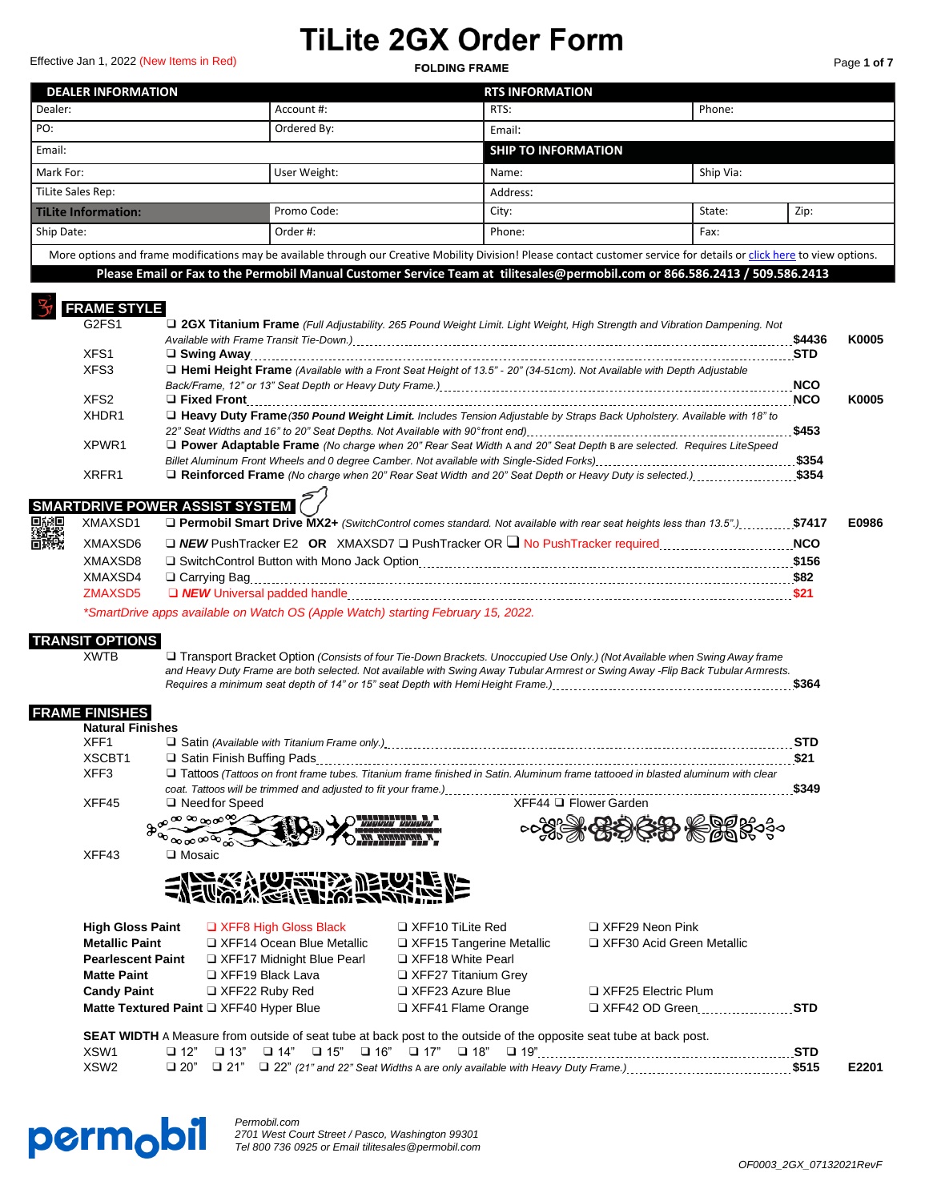Effective Jan 1, 2022 (New Items in Red) **Page 10 Page 10 Page 10 Page 10 Page 10 Page 10 Page 10 Page 10 Page 10** 

| Page <b>1 of 7</b> |  |  |
|--------------------|--|--|
|                    |  |  |

| <b>DEALER INFORMATION</b>  |                                                                                                                                                                          | <b>RTS INFORMATION</b>     |           |      |  |
|----------------------------|--------------------------------------------------------------------------------------------------------------------------------------------------------------------------|----------------------------|-----------|------|--|
| Dealer:                    | Account #:                                                                                                                                                               | RTS:                       | Phone:    |      |  |
| l PO:                      | Ordered By:                                                                                                                                                              | Email:                     |           |      |  |
| Email:                     |                                                                                                                                                                          | <b>SHIP TO INFORMATION</b> |           |      |  |
| Mark For:                  | User Weight:                                                                                                                                                             | Name:                      | Ship Via: |      |  |
| TiLite Sales Rep:          |                                                                                                                                                                          | Address:                   |           |      |  |
| <b>Tilite Information:</b> | Promo Code:                                                                                                                                                              | City:                      | State:    | Zip: |  |
| Ship Date:                 | Order #:                                                                                                                                                                 | Phone:                     | Fax:      |      |  |
|                            | More options and frame modifications may be available through our Creative Mobility Division! Please contact customer service for details or click here to view options. |                            |           |      |  |
|                            | Please Email or Fax to the Permobil Manual Customer Service Team at tilitesales@permobil.com or 866.586.2413 / 509.586.2413                                              |                            |           |      |  |

## **FRAME STYLE**

| G2FS1            | <b>Q 2GX Titanium Frame</b> (Full Adjustability. 265 Pound Weight Limit. Light Weight, High Strength and Vibration Dampening. Not | \$4436     | K0005 |
|------------------|-----------------------------------------------------------------------------------------------------------------------------------|------------|-------|
| XFS <sub>1</sub> |                                                                                                                                   | <b>STD</b> |       |
| XFS3             | Hemi Height Frame (Available with a Front Seat Height of 13.5" - 20" (34-51cm). Not Available with Depth Adjustable               |            |       |
|                  |                                                                                                                                   |            |       |
| XFS <sub>2</sub> |                                                                                                                                   | <b>NCO</b> | K0005 |
| XHDR1            | □ Heavy Duty Frame (350 Pound Weight Limit. Includes Tension Adjustable by Straps Back Upholstery. Available with 18" to          |            |       |
|                  |                                                                                                                                   | \$453      |       |
| XPWR1            | <b>D</b> Power Adaptable Frame (No charge when 20" Rear Seat Width A and 20" Seat Depth B are selected. Requires LiteSpeed        |            |       |
|                  |                                                                                                                                   | \$354      |       |
| XRFR1            | □ Reinforced Frame (No charge when 20" Rear Seat Width and 20" Seat Depth or Heavy Duty is selected.) \$354                       |            |       |

#### **SMARTDRIVE POWER ASSIST SYSTEM**

| 国税国<br>経済教 |                | XMAXSD1 <b>Dermobil Smart Drive MX2+</b> (SwitchControl comes standard. Not available with rear seat heights less than 13.5")\$7417 |            | E0986 |
|------------|----------------|-------------------------------------------------------------------------------------------------------------------------------------|------------|-------|
|            | <b>XMAXSD6</b> |                                                                                                                                     | <b>NCO</b> |       |
|            | XMAXSD8        |                                                                                                                                     | \$156      |       |
|            | XMAXSD4        |                                                                                                                                     | \$82       |       |
|            | ZMAXSD5        | □ NEW Universal padded handle                                                                                                       | \$21       |       |
|            |                |                                                                                                                                     |            |       |

*\*SmartDrive apps available on Watch OS (Apple Watch) starting February 15, 2022.*

## **TRANSIT OPTIONS**

XWTB Transport Bracket Option (Consists of four Tie-Down Brackets. Unoccupied Use Only.) (Not Available when Swing Away frame and Heavy Duty Frame are both selected. Not available with Swing Away Tubular Armrest or Swing Away -Flip Back Tubular Armrests. *Requires a minimum seat depth of 14" or 15" seat Depth with Hemi Height Frame.)* **\$364**

## **FRAME FINISHES**

| <b>Natural Finishes</b>  |                                                                 |                                 |                                                                                                                                   |            |
|--------------------------|-----------------------------------------------------------------|---------------------------------|-----------------------------------------------------------------------------------------------------------------------------------|------------|
| XFF1                     |                                                                 |                                 |                                                                                                                                   | <b>STD</b> |
| XSCBT1                   |                                                                 |                                 |                                                                                                                                   | \$21       |
| XFF3                     | coat. Tattoos will be trimmed and adjusted to fit your frame.). |                                 | □ Tattoos (Tattoos on front frame tubes. Titanium frame finished in Satin. Aluminum frame tattooed in blasted aluminum with clear | \$349      |
| XFF45                    | $\Box$ Need for Speed                                           |                                 | XFF44 □ Flower Garden                                                                                                             |            |
|                          | ೲೲೄೲಌ                                                           |                                 |                                                                                                                                   |            |
|                          |                                                                 |                                 | <b>တြို့ဝါ</b><br>တို့                                                                                                            |            |
| XFF43                    | □ Mosaic                                                        |                                 |                                                                                                                                   |            |
| <b>High Gloss Paint</b>  | ENERGY ACTES DE LUIS NE<br>$\Box$ XFF8 High Gloss Black         | $\Box$ XFF10 TiLite Red         | $\Box$ XFF29 Neon Pink                                                                                                            |            |
| <b>Metallic Paint</b>    | □ XFF14 Ocean Blue Metallic                                     | $\Box$ XFF15 Tangerine Metallic | □ XFF30 Acid Green Metallic                                                                                                       |            |
| <b>Pearlescent Paint</b> | □ XFF17 Midnight Blue Pearl                                     | □ XFF18 White Pearl             |                                                                                                                                   |            |
| <b>Matte Paint</b>       | $\Box$ XFF19 Black Lava                                         | □ XFF27 Titanium Grey           |                                                                                                                                   |            |
| <b>Candy Paint</b>       | $\Box$ XFF22 Ruby Red                                           | $\Box$ XFF23 Azure Blue         | □ XFF25 Electric Plum                                                                                                             |            |
|                          | Matte Textured Paint Q XFF40 Hyper Blue                         | □ XFF41 Flame Orange            | $\Box$ XFF42 OD Green                                                                                                             | <b>STD</b> |

**SEAT WIDTH** A Measure from outside of seat tube at back post to the outside of the opposite seat tube at back post. XSW1 ❑ 12" ❑ 13" ❑ 14" ❑ 15" ❑ 16" ❑ 17" ❑ 18" ❑ 19" **STD** XSW2 ❑ 20" ❑ 21" ❑ 22" *(21" and 22" Seat Widths* A *are only available with Heavy Duty Frame.)* **\$515 E2201**



*Permobil.com 2701 West Court Street / Pasco, Washington 99301 Tel 800 736 0925 or Email tilitesales@permobil.com*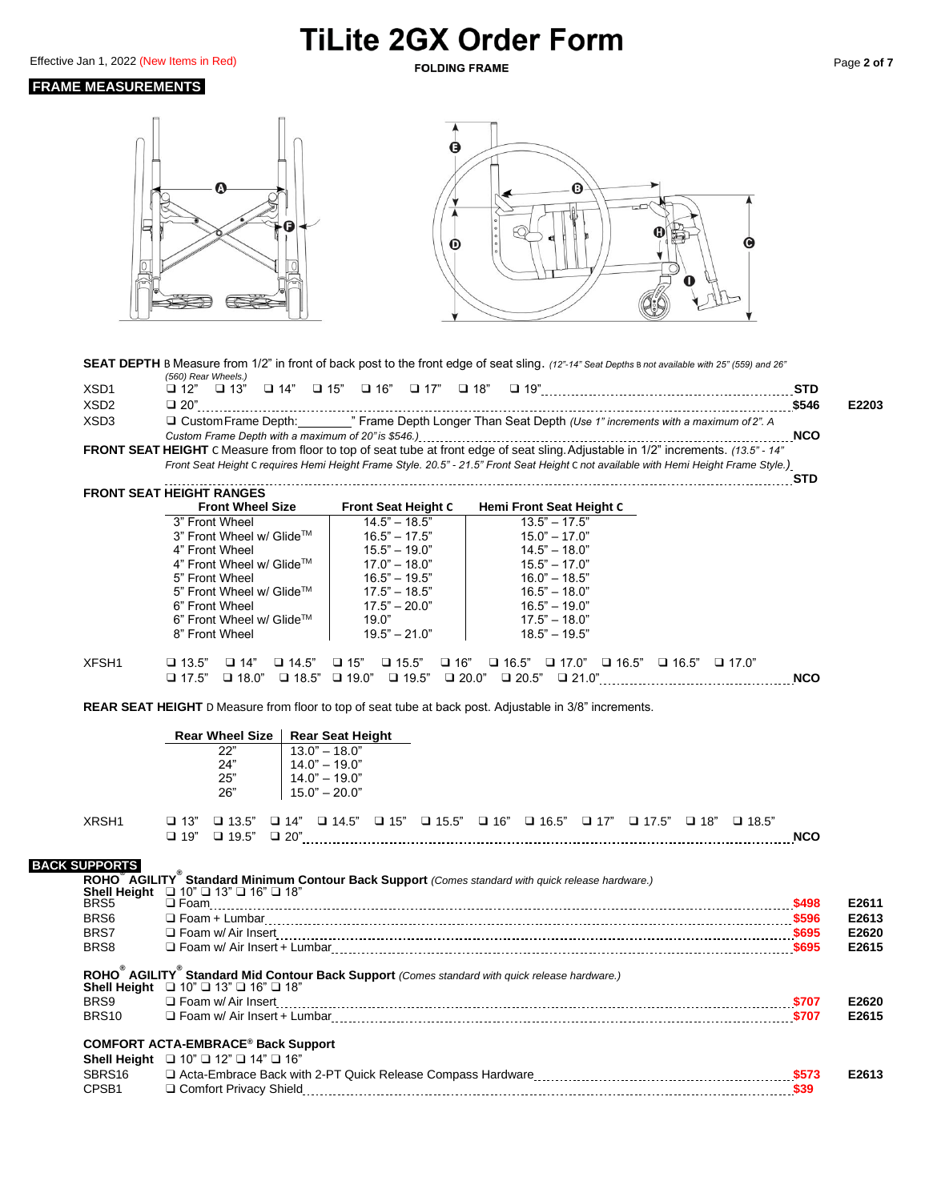Effective Jan 1, 2022 (New Items in Red) **Page 2 of 7 POLDING FRAME** Page 2 of 7

### **FRAME MEASUREMENTS**



SEAT DEPTH B Measure from 1/2" in front of back post to the front edge of seat sling. *(12"-14" Seat Depths B not available with 25" (559) and 26"* 

A

|                  | (560) Rear Wheels.)                                                                                                                  |            |       |
|------------------|--------------------------------------------------------------------------------------------------------------------------------------|------------|-------|
| XSD <sub>1</sub> |                                                                                                                                      | <b>STD</b> |       |
| XSD <sub>2</sub> | $\Box$ 20"                                                                                                                           | \$546      | E2203 |
| XSD <sub>3</sub> | □ Custom Frame Depth: "" Frame Depth Longer Than Seat Depth (Use 1" increments with a maximum of 2". A                               |            |       |
|                  | Custom Frame Depth with a maximum of 20" is \$546.) [11] [2010] [2010] [2010] [2010] [2010] [2010] [2010] [2010                      | <b>NCO</b> |       |
|                  | FRONT SEAT HEIGHT C Measure from floor to top of seat tube at front edge of seat sling. Adjustable in 1/2" increments. (13.5" - 14"  |            |       |
|                  | Front Seat Height C requires Hemi Height Frame Style. 20.5" - 21.5" Front Seat Height C not available with Hemi Height Frame Style.) |            |       |
|                  |                                                                                                                                      |            |       |

|       | FRONT SEAT HEIGHT RANGES                     |                                              |                                           |                              |            |
|-------|----------------------------------------------|----------------------------------------------|-------------------------------------------|------------------------------|------------|
|       | <b>Front Wheel Size</b>                      | <b>Front Seat Height C</b>                   | Hemi Front Seat Height C                  |                              |            |
|       | 3" Front Wheel                               | $14.5" - 18.5"$                              | $13.5" - 17.5"$                           |                              |            |
|       | 3" Front Wheel w/ Glide™                     | $16.5" - 17.5"$                              | $15.0" - 17.0"$                           |                              |            |
|       | 4" Front Wheel                               | $15.5" - 19.0"$                              | $14.5" - 18.0"$                           |                              |            |
|       | 4" Front Wheel w/ Glide™                     | $17.0" - 18.0"$                              | $15.5" - 17.0"$                           |                              |            |
|       | 5" Front Wheel                               | $16.5" - 19.5"$                              | $16.0" - 18.5"$                           |                              |            |
|       | 5" Front Wheel w/ Glide™                     | $17.5" - 18.5"$                              | $16.5" - 18.0"$                           |                              |            |
|       | 6" Front Wheel                               | $17.5" - 20.0"$                              | $16.5" - 19.0"$                           |                              |            |
|       | 6" Front Wheel w/ Glide™                     | 19.0"                                        | $17.5" - 18.0"$                           |                              |            |
|       | 8" Front Wheel                               | $19.5" - 21.0"$                              | $18.5" - 19.5"$                           |                              |            |
|       |                                              |                                              |                                           |                              |            |
| XFSH1 | $\Box$ 13.5"<br>$\Box$ 14"<br>$\Box$ 14.5"   | $\square$ 16"<br>$\Box$ 15"<br>$\Box$ 15.5"  | $\Box$ 16.5" $\Box$ 17.0"<br>$\Box$ 16.5" | $\Box$ 16.5"<br>$\Box$ 17.0" |            |
|       | $\Box$ 18.0"<br>$\Box$ 18.5"<br>$\Box$ 17.5" | $\Box$ 19.5"<br>$\Box$ 20.0"<br>$\Box$ 19.0" | $\Box$ 20.5"<br>$\Box$ 21.0"              |                              | <b>NCO</b> |

**REAR SEAT HEIGHT** D Measure from floor to top of seat tube at back post. Adjustable in 3/8" increments.

|                             | <b>Rear Wheel Size</b><br><b>Rear Seat Height</b>                                                                                                                                  |            |       |
|-----------------------------|------------------------------------------------------------------------------------------------------------------------------------------------------------------------------------|------------|-------|
|                             | 22"<br>$13.0" - 18.0"$<br>24"<br>$14.0" - 19.0"$<br>25"<br>$140" - 190"$<br>26"<br>$15.0" - 20.0"$                                                                                 |            |       |
| XRSH1                       | $\Box$ 13.5" $\Box$ 14" $\Box$ 14.5" $\Box$ 15" $\Box$ 15.5" $\Box$ 16" $\Box$ 16.5" $\Box$ 17.7" $\Box$ 17.5" $\Box$ 18" $\Box$ 18.5"<br>$\Box$ 13"<br>$\Box$ 19"                 | <b>NCO</b> |       |
| <b>BACK SUPPORTS</b>        | ROHO <sup>®</sup> AGILITY <sup>®</sup> Standard Minimum Contour Back Support (Comes standard with quick release hardware.)                                                         |            |       |
| <b>Shell Height</b><br>BRS5 | $\Box$ 10" $\Box$ 13" $\Box$ 16" $\Box$ 18"                                                                                                                                        | \$498      | E2611 |
| BRS6                        |                                                                                                                                                                                    |            | E2613 |
| BRS7                        |                                                                                                                                                                                    |            | E2620 |
| BRS8                        |                                                                                                                                                                                    |            | E2615 |
|                             | ROHO <sup>®</sup> AGILITY <sup>®</sup> Standard Mid Contour Back Support (Comes standard with quick release hardware.)<br>Shell Height $\Box$ 10" $\Box$ 13" $\Box$ 16" $\Box$ 18" |            |       |
| BRS9                        | □ Foam w/ Air Insert                                                                                                                                                               |            | E2620 |
| BRS <sub>10</sub>           | □ Foam w/ Air Insert + Lumbar   19707                                                                                                                                              |            | E2615 |
|                             | <b>COMFORT ACTA-EMBRACE® Back Support</b><br>Shell Height $\Box$ 10" $\Box$ 12" $\Box$ 14" $\Box$ 16"                                                                              |            |       |
| SBRS16                      |                                                                                                                                                                                    |            | E2613 |
| CPSB <sub>1</sub>           |                                                                                                                                                                                    |            |       |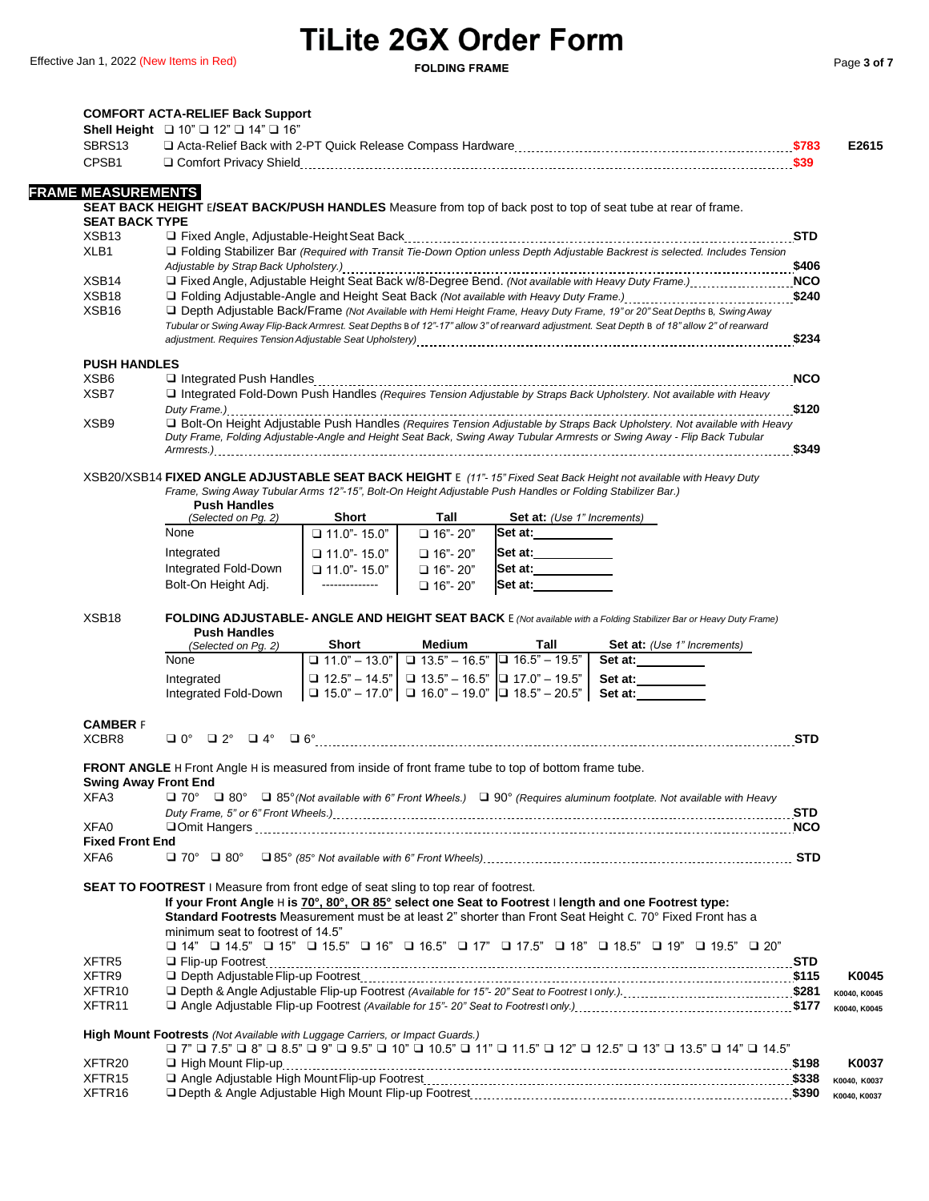|                                          | Shell Height $\Box$ 10" $\Box$ 12" $\Box$ 14" $\Box$ 16"                                                    |                                                                                                                                                                                                                                                                            |              |
|------------------------------------------|-------------------------------------------------------------------------------------------------------------|----------------------------------------------------------------------------------------------------------------------------------------------------------------------------------------------------------------------------------------------------------------------------|--------------|
| SBRS13                                   |                                                                                                             |                                                                                                                                                                                                                                                                            |              |
| CPSB1                                    |                                                                                                             |                                                                                                                                                                                                                                                                            |              |
|                                          |                                                                                                             |                                                                                                                                                                                                                                                                            |              |
| <b>FRAME MEASUREMENTS</b>                |                                                                                                             |                                                                                                                                                                                                                                                                            |              |
|                                          |                                                                                                             | SEAT BACK HEIGHT E/SEAT BACK/PUSH HANDLES Measure from top of back post to top of seat tube at rear of frame.                                                                                                                                                              |              |
| <b>SEAT BACK TYPE</b>                    |                                                                                                             |                                                                                                                                                                                                                                                                            |              |
| XSB <sub>13</sub>                        |                                                                                                             |                                                                                                                                                                                                                                                                            | <b>STD</b>   |
| XLB1                                     |                                                                                                             | □ Folding Stabilizer Bar (Required with Transit Tie-Down Option unless Depth Adjustable Backrest is selected. Includes Tension                                                                                                                                             |              |
|                                          |                                                                                                             |                                                                                                                                                                                                                                                                            |              |
| XSB <sub>14</sub>                        |                                                                                                             | □ Fixed Angle, Adjustable Height Seat Back w/8-Degree Bend. (Not available with Heavy Duty Frame.) NCO                                                                                                                                                                     |              |
| XSB <sub>18</sub>                        |                                                                                                             |                                                                                                                                                                                                                                                                            | \$240        |
| XSB <sub>16</sub>                        |                                                                                                             | □ Depth Adjustable Back/Frame (Not Available with Hemi Height Frame, Heavy Duty Frame, 19" or 20" Seat Depths B, Swing Away<br>Tubular or Swing Away Flip-Back Armrest. Seat Depths B of 12"-17" allow 3" of rearward adjustment. Seat Depth B of 18" allow 2" of rearward |              |
|                                          |                                                                                                             |                                                                                                                                                                                                                                                                            |              |
|                                          |                                                                                                             |                                                                                                                                                                                                                                                                            |              |
| <b>PUSH HANDLES</b>                      |                                                                                                             |                                                                                                                                                                                                                                                                            |              |
| XSB <sub>6</sub>                         |                                                                                                             |                                                                                                                                                                                                                                                                            | <b>NCO</b>   |
| XSB7                                     |                                                                                                             | Integrated Fold-Down Push Handles (Requires Tension Adjustable by Straps Back Upholstery. Not available with Heavy                                                                                                                                                         |              |
|                                          |                                                                                                             |                                                                                                                                                                                                                                                                            |              |
| XSB <sub>9</sub>                         |                                                                                                             | □ Bolt-On Height Adjustable Push Handles (Requires Tension Adjustable by Straps Back Upholstery. Not available with Heavy                                                                                                                                                  |              |
|                                          |                                                                                                             | Duty Frame, Folding Adjustable-Angle and Height Seat Back, Swing Away Tubular Armrests or Swing Away - Flip Back Tubular                                                                                                                                                   |              |
|                                          |                                                                                                             |                                                                                                                                                                                                                                                                            |              |
|                                          |                                                                                                             | XSB20/XSB14 FIXED ANGLE ADJUSTABLE SEAT BACK HEIGHT E (11"-15" Fixed Seat Back Height not available with Heavy Duty                                                                                                                                                        |              |
|                                          |                                                                                                             | Frame, Swing Away Tubular Arms 12"-15", Bolt-On Height Adjustable Push Handles or Folding Stabilizer Bar.)                                                                                                                                                                 |              |
|                                          | <b>Push Handles</b>                                                                                         |                                                                                                                                                                                                                                                                            |              |
|                                          | Short<br>(Selected on Pg. 2)                                                                                | Tall<br><b>Set at:</b> (Use 1" Increments)                                                                                                                                                                                                                                 |              |
|                                          | None<br>$\Box$ 11.0" - 15.0"                                                                                | □ 16"- 20"<br>Set at:                                                                                                                                                                                                                                                      |              |
|                                          | Integrated<br>$\Box$ 11.0" - 15.0"                                                                          | Set at: ___________<br>$\Box$ 16"- 20"                                                                                                                                                                                                                                     |              |
|                                          | Integrated Fold-Down<br>$\Box$ 11.0" - 15.0"                                                                | Set at: ____________<br>$\Box$ 16"- 20"                                                                                                                                                                                                                                    |              |
|                                          | Bolt-On Height Adj.<br>--------------                                                                       | Set at:<br>$\Box$ 16"- 20"                                                                                                                                                                                                                                                 |              |
|                                          |                                                                                                             |                                                                                                                                                                                                                                                                            |              |
| XSB <sub>18</sub>                        |                                                                                                             | FOLDING ADJUSTABLE- ANGLE AND HEIGHT SEAT BACK E (Not available with a Folding Stabilizer Bar or Heavy Duty Frame)                                                                                                                                                         |              |
|                                          |                                                                                                             |                                                                                                                                                                                                                                                                            |              |
|                                          |                                                                                                             |                                                                                                                                                                                                                                                                            |              |
|                                          | <b>Push Handles</b><br>Short                                                                                | Medium<br>Tall                                                                                                                                                                                                                                                             |              |
|                                          | (Selected on Pg. 2)<br>None                                                                                 | <b>Set at:</b> (Use 1" Increments)                                                                                                                                                                                                                                         |              |
|                                          |                                                                                                             | $\boxed{)}$ 11.0" - 13.0" $\boxed{)}$ 13.5" - 16.5" $\boxed{)}$ 16.5" - 19.5"<br>Set at:                                                                                                                                                                                   |              |
|                                          | Integrated                                                                                                  | <b>□</b> 12.5" – 14.5" $\boxed{ }$ 13.5" – 16.5" $\boxed{ }$ 17.0" – 19.5"<br>Set at:__________                                                                                                                                                                            |              |
|                                          | Integrated Fold-Down                                                                                        | $\Box$ 15.0" - 17.0" $\Box$ 16.0" - 19.0" $\Box$ 18.5" - 20.5"<br>Set at:                                                                                                                                                                                                  |              |
|                                          |                                                                                                             |                                                                                                                                                                                                                                                                            |              |
| <b>CAMBER F</b>                          |                                                                                                             |                                                                                                                                                                                                                                                                            |              |
| XCBR8                                    |                                                                                                             |                                                                                                                                                                                                                                                                            | <b>STD</b>   |
|                                          | <b>FRONT ANGLE</b> H Front Angle H is measured from inside of front frame tube to top of bottom frame tube. |                                                                                                                                                                                                                                                                            |              |
| <b>Swing Away Front End</b>              |                                                                                                             |                                                                                                                                                                                                                                                                            |              |
| XFA3                                     |                                                                                                             | □ 70° □ 80° □ 85° (Not available with 6" Front Wheels.) □ 90° (Requires aluminum footplate. Not available with Heavy                                                                                                                                                       |              |
|                                          |                                                                                                             |                                                                                                                                                                                                                                                                            |              |
| XFA0                                     |                                                                                                             |                                                                                                                                                                                                                                                                            |              |
| <b>Fixed Front End</b>                   |                                                                                                             |                                                                                                                                                                                                                                                                            |              |
| XFA6                                     | $\Box$ 70° $\Box$ 80°                                                                                       |                                                                                                                                                                                                                                                                            |              |
|                                          |                                                                                                             |                                                                                                                                                                                                                                                                            |              |
|                                          | <b>SEAT TO FOOTREST</b> I Measure from front edge of seat sling to top rear of footrest.                    |                                                                                                                                                                                                                                                                            |              |
|                                          |                                                                                                             | If your Front Angle H is 70°, 80°, OR 85° select one Seat to Footrest I length and one Footrest type:                                                                                                                                                                      |              |
|                                          |                                                                                                             | Standard Footrests Measurement must be at least 2" shorter than Front Seat Height C. 70° Fixed Front has a                                                                                                                                                                 |              |
|                                          | minimum seat to footrest of 14.5"                                                                           |                                                                                                                                                                                                                                                                            |              |
|                                          |                                                                                                             | $\Box$ 14" $\Box$ 14.5" $\Box$ 15" $\Box$ 15.5" $\Box$ 16" $\Box$ 16.5" $\Box$ 17" $\Box$ 17.5" $\Box$ 18" $\Box$ 18.5" $\Box$ 19" $\Box$ 19.5" $\Box$ 20"                                                                                                                 |              |
| XFTR5                                    |                                                                                                             |                                                                                                                                                                                                                                                                            |              |
| XFTR9                                    |                                                                                                             |                                                                                                                                                                                                                                                                            |              |
| XFTR <sub>10</sub>                       |                                                                                                             |                                                                                                                                                                                                                                                                            | K0040, K0045 |
| XFTR <sub>11</sub>                       |                                                                                                             |                                                                                                                                                                                                                                                                            | K0040, K0045 |
|                                          |                                                                                                             |                                                                                                                                                                                                                                                                            |              |
|                                          | High Mount Footrests (Not Available with Luggage Carriers, or Impact Guards.)                               |                                                                                                                                                                                                                                                                            |              |
|                                          |                                                                                                             | 14.5" □ 13.5" □ 13.5" □ 14" □ 15.5" □ 10" □ 10.5" □ 11.5" □ 11.5" □ 12.5" □ 13.5" □ 14" □ 14.5"                                                                                                                                                                            |              |
| XFTR <sub>20</sub>                       |                                                                                                             |                                                                                                                                                                                                                                                                            |              |
| XFTR <sub>15</sub><br>XFTR <sub>16</sub> |                                                                                                             |                                                                                                                                                                                                                                                                            | K0040, K0037 |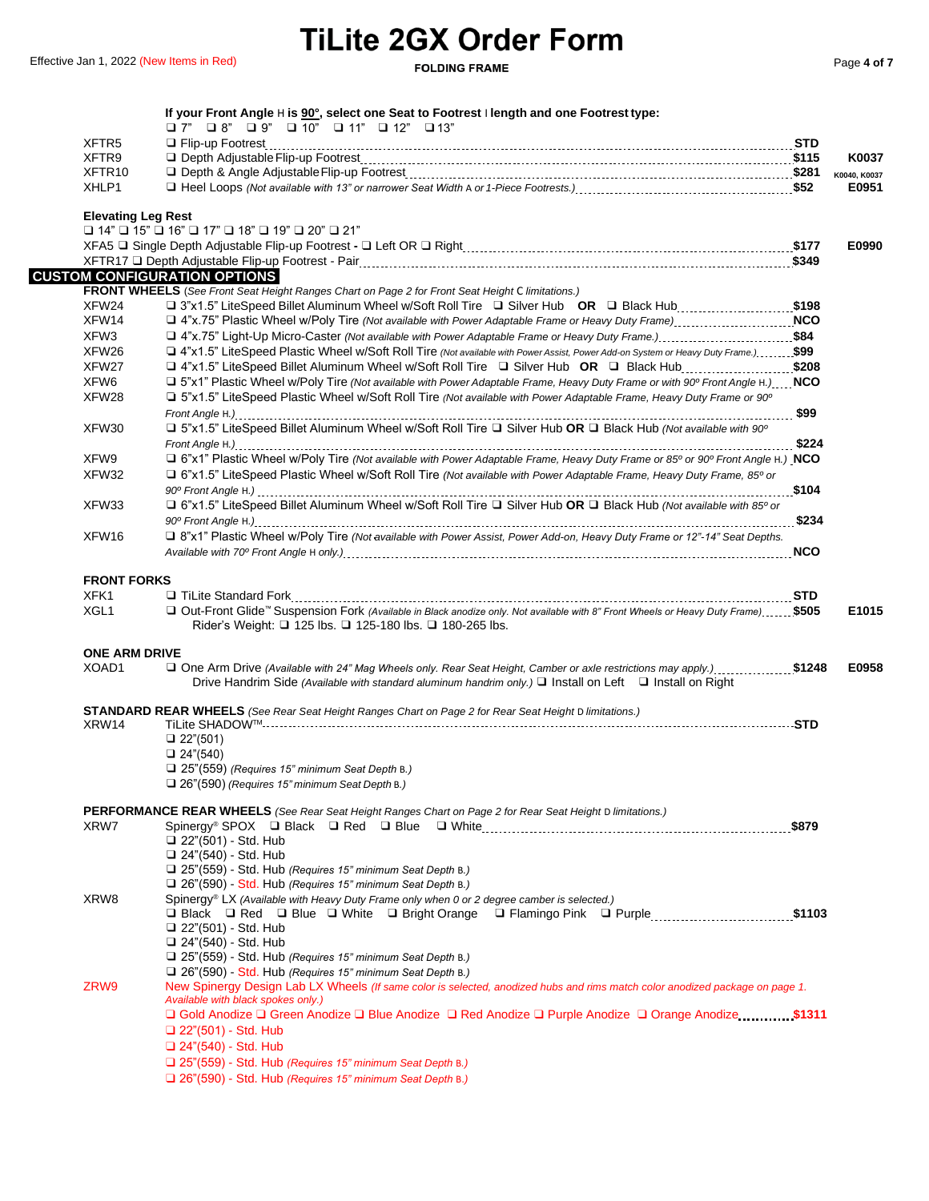| XFTR <sub>5</sub>             | $\Box$ 7" $\Box$ 8" $\Box$ 9" $\Box$ 10" $\Box$ 11" $\Box$ 12" $\Box$ 13"                                                                                                                              |       |              |
|-------------------------------|--------------------------------------------------------------------------------------------------------------------------------------------------------------------------------------------------------|-------|--------------|
| XFTR9                         |                                                                                                                                                                                                        |       | K0037        |
| XFTR <sub>10</sub>            |                                                                                                                                                                                                        |       | K0040, K0037 |
| XHLP1                         |                                                                                                                                                                                                        |       | E0951        |
| <b>Elevating Leg Rest</b>     |                                                                                                                                                                                                        |       |              |
|                               | $\Box$ 14" $\Box$ 15" $\Box$ 16" $\Box$ 17" $\Box$ 18" $\Box$ 19" $\Box$ 20" $\Box$ 21"                                                                                                                |       |              |
|                               |                                                                                                                                                                                                        |       | E0990        |
|                               |                                                                                                                                                                                                        |       |              |
|                               | <b>CUSTOM CONFIGURATION OPTIONS</b>                                                                                                                                                                    |       |              |
| XFW24                         | <b>FRONT WHEELS</b> (See Front Seat Height Ranges Chart on Page 2 for Front Seat Height C limitations.)<br>□ 3"x1.5" LiteSpeed Billet Aluminum Wheel w/Soft Roll Tire □ Silver Hub OR □ Black Hub\$198 |       |              |
| XFW14                         | □ 4"x.75" Plastic Wheel w/Poly Tire (Not available with Power Adaptable Frame or Heavy Duty Frame)                                                                                                     |       |              |
| XFW3                          | □ 4"x.75" Light-Up Micro-Caster (Not available with Power Adaptable Frame or Heavy Duty Frame.)\$84                                                                                                    |       |              |
| XFW26                         | □ 4"x1.5" LiteSpeed Plastic Wheel w/Soft Roll Tire (Not available with Power Assist, Power Add-on System or Heavy Duty Frame.)\$99                                                                     |       |              |
| XFW27                         | □ 4"x1.5" LiteSpeed Billet Aluminum Wheel w/Soft Roll Tire □ Silver Hub OR □ Black Hub\$208                                                                                                            |       |              |
| XFW6                          | □ 5"x1" Plastic Wheel w/Poly Tire (Not available with Power Adaptable Frame, Heavy Duty Frame or with 90° Front Angle H.) NCO                                                                          |       |              |
| XFW28                         | □ 5"x1.5" LiteSpeed Plastic Wheel w/Soft Roll Tire (Not available with Power Adaptable Frame, Heavy Duty Frame or 90°                                                                                  |       |              |
|                               |                                                                                                                                                                                                        |       |              |
| XFW30                         | □ 5"x1.5" LiteSpeed Billet Aluminum Wheel w/Soft Roll Tire □ Silver Hub OR □ Black Hub (Not available with 90°                                                                                         |       |              |
|                               |                                                                                                                                                                                                        |       |              |
| XFW9                          | □ 6"x1" Plastic Wheel w/Poly Tire (Not available with Power Adaptable Frame, Heavy Duty Frame or 85° or 90° Front Angle H.) NCO                                                                        |       |              |
| XFW32                         | □ 6"x1.5" LiteSpeed Plastic Wheel w/Soft Roll Tire (Not available with Power Adaptable Frame, Heavy Duty Frame, 85° or                                                                                 |       |              |
|                               |                                                                                                                                                                                                        | \$104 |              |
| XFW33                         | □ 6"x1.5" LiteSpeed Billet Aluminum Wheel w/Soft Roll Tire □ Silver Hub OR □ Black Hub (Not available with 85° or                                                                                      |       |              |
|                               |                                                                                                                                                                                                        |       |              |
| XFW16                         | Q 8"x1" Plastic Wheel w/Poly Tire (Not available with Power Assist, Power Add-on, Heavy Duty Frame or 12"-14" Seat Depths.                                                                             |       |              |
|                               |                                                                                                                                                                                                        |       |              |
| <b>FRONT FORKS</b>            |                                                                                                                                                                                                        |       |              |
| XFK1                          |                                                                                                                                                                                                        |       |              |
| XGL <sub>1</sub>              | □ Out-Front Glide™ Suspension Fork (Available in Black anodize only. Not available with 8" Front Wheels or Heavy Duty Frame) \$505                                                                     |       | E1015        |
|                               | Rider's Weight: □ 125 lbs. □ 125-180 lbs. □ 180-265 lbs.                                                                                                                                               |       |              |
|                               |                                                                                                                                                                                                        |       |              |
| <b>ONE ARM DRIVE</b><br>XOAD1 |                                                                                                                                                                                                        |       | E0958        |
|                               |                                                                                                                                                                                                        |       |              |
|                               |                                                                                                                                                                                                        |       |              |
|                               | Drive Handrim Side (Available with standard aluminum handrim only.) $\Box$ Install on Left $\Box$ Install on Right                                                                                     |       |              |
|                               | <b>STANDARD REAR WHEELS</b> (See Rear Seat Height Ranges Chart on Page 2 for Rear Seat Height D limitations.)                                                                                          |       |              |
| XRW14                         |                                                                                                                                                                                                        |       |              |
|                               | $\Box$ 22"(501)                                                                                                                                                                                        |       |              |
|                               | $\Box$ 24"(540)                                                                                                                                                                                        |       |              |
|                               | $\Box$ 25"(559) (Requires 15" minimum Seat Depth B.)                                                                                                                                                   |       |              |
|                               | $\Box$ 26"(590) (Requires 15" minimum Seat Depth B.)                                                                                                                                                   |       |              |
|                               | <b>PERFORMANCE REAR WHEELS</b> (See Rear Seat Height Ranges Chart on Page 2 for Rear Seat Height D limitations.)                                                                                       |       |              |
| XRW7                          |                                                                                                                                                                                                        |       |              |
|                               | $\Box$ 22"(501) - Std. Hub                                                                                                                                                                             |       |              |
|                               | □ 24"(540) - Std. Hub                                                                                                                                                                                  |       |              |
|                               | $\Box$ 25"(559) - Std. Hub (Requires 15" minimum Seat Depth B.)                                                                                                                                        |       |              |
|                               | $\Box$ 26"(590) - Std. Hub (Requires 15" minimum Seat Depth B.)                                                                                                                                        |       |              |
| XRW8                          | Spinergy <sup>®</sup> LX (Available with Heavy Duty Frame only when 0 or 2 degree camber is selected.)                                                                                                 |       |              |
|                               | □ Black □ Red □ Blue □ White □ Bright Orange □ Flamingo Pink □ Purple\$1103                                                                                                                            |       |              |
|                               | $\Box$ 22"(501) - Std. Hub<br>□ 24"(540) - Std. Hub                                                                                                                                                    |       |              |
|                               | □ 25"(559) - Std. Hub (Requires 15" minimum Seat Depth B.)                                                                                                                                             |       |              |
|                               | $\Box$ 26"(590) - Std. Hub (Requires 15" minimum Seat Depth B.)                                                                                                                                        |       |              |
| ZRW9                          | New Spinergy Design Lab LX Wheels (If same color is selected, anodized hubs and rims match color anodized package on page 1.                                                                           |       |              |
|                               | Available with black spokes only.)                                                                                                                                                                     |       |              |
|                               | □ Gold Anodize □ Green Anodize □ Blue Anodize □ Red Anodize □ Purple Anodize □ Orange Anodize  \$1311                                                                                                  |       |              |
|                               | $\Box$ 22"(501) - Std. Hub                                                                                                                                                                             |       |              |
|                               | □ 24"(540) - Std. Hub<br>□ 25"(559) - Std. Hub (Requires 15" minimum Seat Depth B.)                                                                                                                    |       |              |

❑ 26"(590) - Std. Hub *(Requires 15" minimum Seat Depth* B.*)*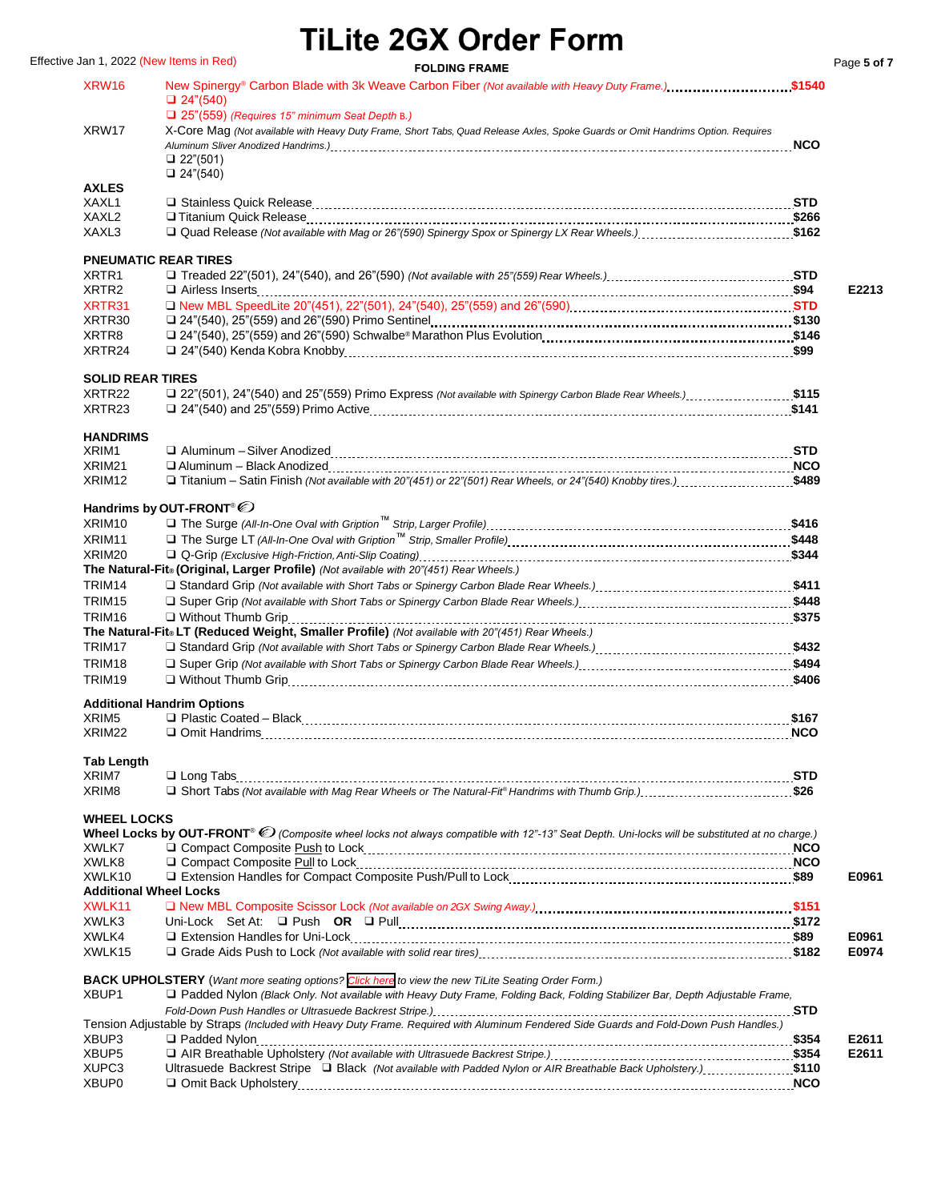Effective Jan 1, 2022 (New Items in Red) **FOLDING FRAME Page 5** of 7

| XRW16                                  | New Spinergy® Carbon Blade with 3k Weave Carbon Fiber (Not available with Heavy Duty Frame.)\$1540<br>$\Box$ 24"(540)<br>$\Box$ 25"(559) (Requires 15" minimum Seat Depth B.) |            |                |
|----------------------------------------|-------------------------------------------------------------------------------------------------------------------------------------------------------------------------------|------------|----------------|
| XRW17                                  | X-Core Mag (Not available with Heavy Duty Frame, Short Tabs, Quad Release Axles, Spoke Guards or Omit Handrims Option. Requires<br>□ 22"(501)<br>$\Box$ 24"(540)              | <b>NCO</b> |                |
| <b>AXLES</b>                           |                                                                                                                                                                               |            |                |
| XAXL1                                  |                                                                                                                                                                               |            |                |
| XAXL <sub>2</sub><br>XAXL3             | 162 Quad Release (Not available with Mag or 26"(590) Spinergy Spox or Spinergy LX Rear Wheels.)                                                                               |            |                |
|                                        |                                                                                                                                                                               |            |                |
|                                        | <b>PNEUMATIC REAR TIRES</b>                                                                                                                                                   |            |                |
| XRTR <sub>1</sub><br>XRTR <sub>2</sub> |                                                                                                                                                                               |            | E2213          |
| XRTR31                                 |                                                                                                                                                                               |            |                |
| XRTR30                                 |                                                                                                                                                                               |            |                |
| XRTR8                                  |                                                                                                                                                                               |            |                |
| XRTR24                                 |                                                                                                                                                                               |            |                |
| <b>SOLID REAR TIRES</b>                |                                                                                                                                                                               |            |                |
| XRTR22                                 | 115 (\$47), 24" (540) and 25" (559) Primo Express (Not available with Spinergy Carbon Blade Rear Wheels.)\$115                                                                |            |                |
| XRTR <sub>23</sub>                     |                                                                                                                                                                               |            |                |
|                                        |                                                                                                                                                                               |            |                |
| <b>HANDRIMS</b><br>XRIM1               |                                                                                                                                                                               |            |                |
| XRIM21                                 |                                                                                                                                                                               |            |                |
| XRIM <sub>12</sub>                     | □ Titanium – Satin Finish (Not available with 20"(451) or 22"(501) Rear Wheels, or 24"(540) Knobby tires.) \$489                                                              |            |                |
|                                        |                                                                                                                                                                               |            |                |
| XRIM <sub>10</sub>                     | Handrims by OUT-FRONT <sup>®</sup>                                                                                                                                            |            |                |
| XRIM11                                 |                                                                                                                                                                               |            |                |
| XRIM20                                 |                                                                                                                                                                               |            |                |
|                                        | The Natural-Fit® (Original, Larger Profile) (Not available with 20"(451) Rear Wheels.)                                                                                        |            |                |
| TRIM14                                 |                                                                                                                                                                               |            |                |
| TRIM <sub>15</sub>                     |                                                                                                                                                                               |            |                |
| TRIM <sub>16</sub>                     | $\Box$ Without Thumb Grip                                                                                                                                                     |            |                |
| TRIM17                                 | The Natural-Fit® LT (Reduced Weight, Smaller Profile) (Not available with 20"(451) Rear Wheels.)                                                                              |            |                |
| TRIM18                                 |                                                                                                                                                                               |            |                |
| TRIM <sub>19</sub>                     |                                                                                                                                                                               |            |                |
|                                        |                                                                                                                                                                               |            |                |
| XRIM <sub>5</sub>                      | <b>Additional Handrim Options</b>                                                                                                                                             |            |                |
| XRIM <sub>22</sub>                     |                                                                                                                                                                               |            |                |
|                                        |                                                                                                                                                                               |            |                |
| <b>Tab Length</b>                      |                                                                                                                                                                               |            |                |
| XRIM7                                  |                                                                                                                                                                               |            |                |
| XRIM <sub>8</sub>                      | □ Short Tabs (Not available with Mag Rear Wheels or The Natural-Fit® Handrims with Thumb Grip.)\$26                                                                           |            |                |
| <b>WHEEL LOCKS</b>                     |                                                                                                                                                                               |            |                |
|                                        | Wheel Locks by OUT-FRONT <sup>®</sup> O (Composite wheel locks not always compatible with 12"-13" Seat Depth. Uni-locks will be substituted at no charge.)                    |            |                |
| XWLK7                                  |                                                                                                                                                                               |            |                |
| XWLK8<br>XWLK10                        |                                                                                                                                                                               |            | E0961          |
| <b>Additional Wheel Locks</b>          |                                                                                                                                                                               |            |                |
| XWLK11                                 |                                                                                                                                                                               |            |                |
| XWLK3                                  |                                                                                                                                                                               |            |                |
| XWLK4                                  |                                                                                                                                                                               |            | E0961          |
| XWLK15                                 |                                                                                                                                                                               |            | E0974          |
|                                        | <b>BACK UPHOLSTERY</b> (Want more seating options? Click here to view the new TiLite Seating Order Form.)                                                                     |            |                |
| XBUP1                                  | □ Padded Nylon (Black Only. Not available with Heavy Duty Frame, Folding Back, Folding Stabilizer Bar, Depth Adjustable Frame,                                                |            |                |
|                                        |                                                                                                                                                                               | <b>STD</b> |                |
|                                        | Tension Adjustable by Straps (Included with Heavy Duty Frame. Required with Aluminum Fendered Side Guards and Fold-Down Push Handles.)                                        |            |                |
| XBUP3<br>XBUP <sub>5</sub>             |                                                                                                                                                                               |            | E2611<br>E2611 |
| XUPC3                                  | Ultrasuede Backrest Stripe [D Black (Not available with Padded Nylon or AIR Breathable Back Upholstery.)\$110                                                                 |            |                |
| XBUP0                                  |                                                                                                                                                                               |            |                |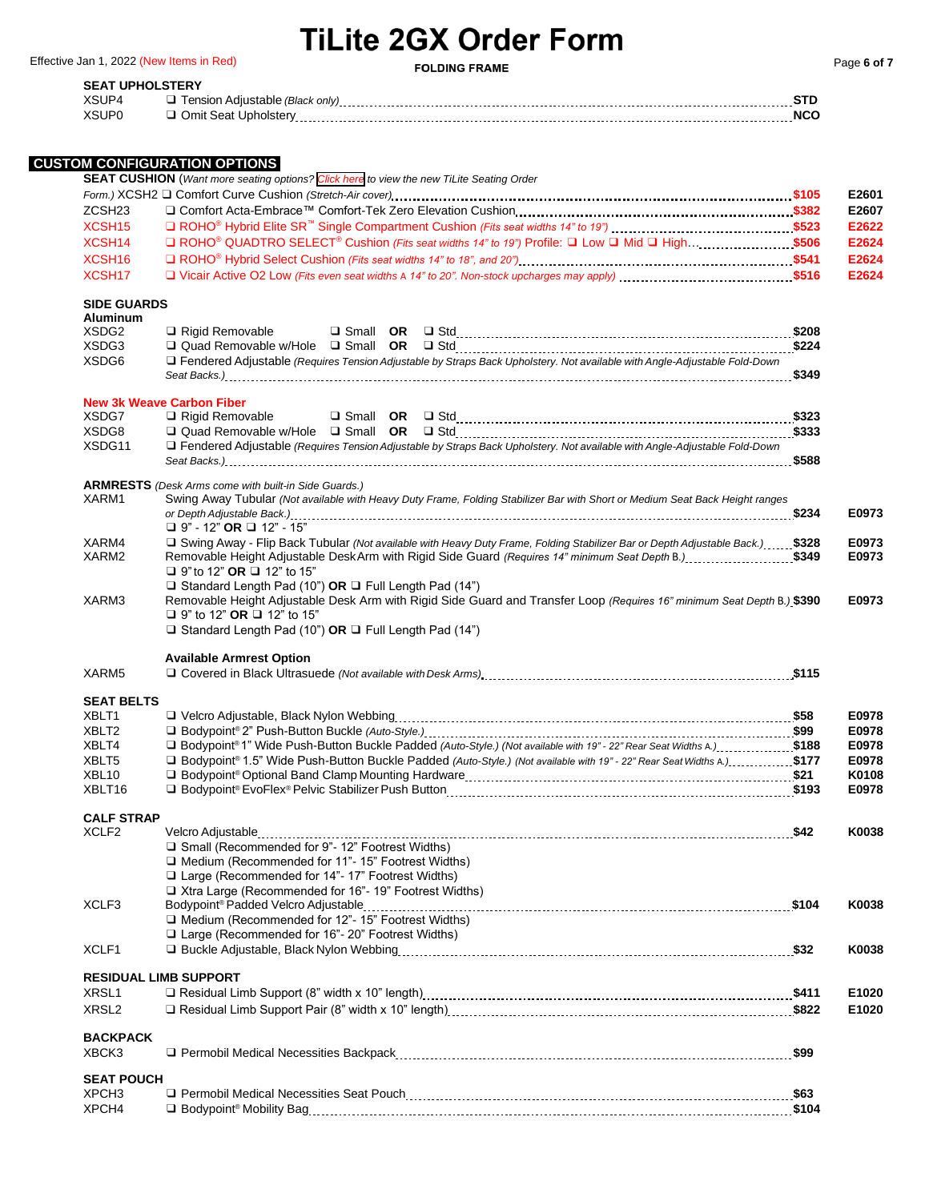Effective Jan 1, 2022 (New Items in Red) **FOLDING FRAME Page 6** of 7

## **SEAT UPHOLSTERY**

| ASUP |  |
|------|--|
| 85U  |  |

## **CUSTOM CONFIGURATION OPTIONS**

|                                        | טושה וטיוואזוטטיווויטט<br><b>SEAT CUSHION</b> (Want more seating options? Click here to view the new TiLite Seating Order                                                                                                                          |       |                |
|----------------------------------------|----------------------------------------------------------------------------------------------------------------------------------------------------------------------------------------------------------------------------------------------------|-------|----------------|
|                                        |                                                                                                                                                                                                                                                    |       | E2601          |
| ZCSH <sub>23</sub>                     |                                                                                                                                                                                                                                                    |       | E2607          |
| XCSH <sub>15</sub>                     |                                                                                                                                                                                                                                                    |       | E2622          |
| XCSH <sub>14</sub>                     | □ ROHO <sup>®</sup> QUADTRO SELECT <sup>®</sup> Cushion (Fits seat widths 14" to 19") Profile: □ Low □ Mid □ High\$506                                                                                                                             |       | E2624          |
| XCSH <sub>16</sub>                     |                                                                                                                                                                                                                                                    |       | E2624          |
| XCSH <sub>17</sub>                     |                                                                                                                                                                                                                                                    |       | E2624          |
| <b>SIDE GUARDS</b>                     |                                                                                                                                                                                                                                                    |       |                |
| <b>Aluminum</b>                        |                                                                                                                                                                                                                                                    |       |                |
| XSDG2                                  | Rigid Removable                                                                                                                                                                                                                                    |       |                |
| XSDG3<br>XSDG6                         | □ Fendered Adjustable (Requires Tension Adjustable by Straps Back Upholstery. Not available with Angle-Adjustable Fold-Down                                                                                                                        |       |                |
|                                        |                                                                                                                                                                                                                                                    |       |                |
|                                        | <b>New 3k Weave Carbon Fiber</b>                                                                                                                                                                                                                   |       |                |
| XSDG7                                  | $\Box$ Rigid Removable                                                                                                                                                                                                                             |       |                |
| XSDG8                                  |                                                                                                                                                                                                                                                    |       |                |
| XSDG11                                 | □ Fendered Adjustable (Requires Tension Adjustable by Straps Back Upholstery. Not available with Angle-Adjustable Fold-Down                                                                                                                        |       |                |
|                                        |                                                                                                                                                                                                                                                    |       |                |
| XARM1                                  | <b>ARMRESTS</b> (Desk Arms come with built-in Side Guards.)<br>Swing Away Tubular (Not available with Heavy Duty Frame, Folding Stabilizer Bar with Short or Medium Seat Back Height ranges                                                        |       |                |
|                                        | $\Box$ 9" - 12" OR $\Box$ 12" - 15"                                                                                                                                                                                                                | \$234 | E0973          |
| XARM4                                  |                                                                                                                                                                                                                                                    |       | E0973          |
| XARM2                                  | \$349. Removable Height Adjustable DeskArm with Rigid Side Guard (Requires 14" minimum Seat Depth B.)                                                                                                                                              |       | E0973          |
|                                        | □ 9" to 12" OR □ 12" to 15"                                                                                                                                                                                                                        |       |                |
|                                        | □ Standard Length Pad (10") OR □ Full Length Pad (14")                                                                                                                                                                                             |       |                |
| XARM3                                  | Removable Height Adjustable Desk Arm with Rigid Side Guard and Transfer Loop (Requires 16" minimum Seat Depth B.) \$390                                                                                                                            |       | E0973          |
|                                        | <b>□</b> 9" to 12" <b>OR</b> ■ 12" to 15"                                                                                                                                                                                                          |       |                |
|                                        | $\Box$ Standard Length Pad (10") OR $\Box$ Full Length Pad (14")                                                                                                                                                                                   |       |                |
| XARM5                                  | <b>Available Armrest Option</b>                                                                                                                                                                                                                    |       |                |
|                                        |                                                                                                                                                                                                                                                    |       |                |
| <b>SEAT BELTS</b>                      |                                                                                                                                                                                                                                                    |       |                |
| XBLT1<br>XBLT2                         |                                                                                                                                                                                                                                                    |       | E0978<br>E0978 |
| XBLT4                                  |                                                                                                                                                                                                                                                    |       |                |
| XBLT5                                  | I Bodypoint®1" Wide Push-Button Buckle Padded (Auto-Style.) (Not available with 19" - 22" Rear Seat Widths A.)  \$188<br>S177 Bodypoint® 1.5" Wide Push-Button Buckle Padded (Auto-Style.) (Not available with 19" - 22" Rear Seat Widths A.)\$177 |       | E0978<br>E0978 |
| XBL <sub>10</sub>                      |                                                                                                                                                                                                                                                    |       | K0108          |
| XBLT16                                 |                                                                                                                                                                                                                                                    |       | E0978          |
|                                        |                                                                                                                                                                                                                                                    |       |                |
| <b>CALF STRAP</b><br>XCLF <sub>2</sub> |                                                                                                                                                                                                                                                    |       | K0038          |
|                                        |                                                                                                                                                                                                                                                    |       |                |
|                                        | □ Medium (Recommended for 11"- 15" Footrest Widths)                                                                                                                                                                                                |       |                |
|                                        | $\Box$ Large (Recommended for 14"- 17" Footrest Widths)                                                                                                                                                                                            |       |                |
|                                        | $\Box$ Xtra Large (Recommended for 16"- 19" Footrest Widths)                                                                                                                                                                                       |       |                |
| XCLF3                                  |                                                                                                                                                                                                                                                    |       | K0038          |
|                                        | $\Box$ Medium (Recommended for 12"- 15" Footrest Widths)                                                                                                                                                                                           |       |                |
|                                        | $\Box$ Large (Recommended for 16"- 20" Footrest Widths)                                                                                                                                                                                            |       |                |
| XCLF1                                  |                                                                                                                                                                                                                                                    |       | K0038          |
|                                        | <b>RESIDUAL LIMB SUPPORT</b>                                                                                                                                                                                                                       |       |                |
| XRSL1                                  |                                                                                                                                                                                                                                                    |       | E1020          |
| XRSL <sub>2</sub>                      |                                                                                                                                                                                                                                                    |       | E1020          |
| <b>BACKPACK</b>                        |                                                                                                                                                                                                                                                    |       |                |
| XBCK3                                  |                                                                                                                                                                                                                                                    |       |                |
| <b>SEAT POUCH</b>                      |                                                                                                                                                                                                                                                    |       |                |
| XPCH <sub>3</sub>                      |                                                                                                                                                                                                                                                    |       |                |
| XPCH4                                  |                                                                                                                                                                                                                                                    |       |                |